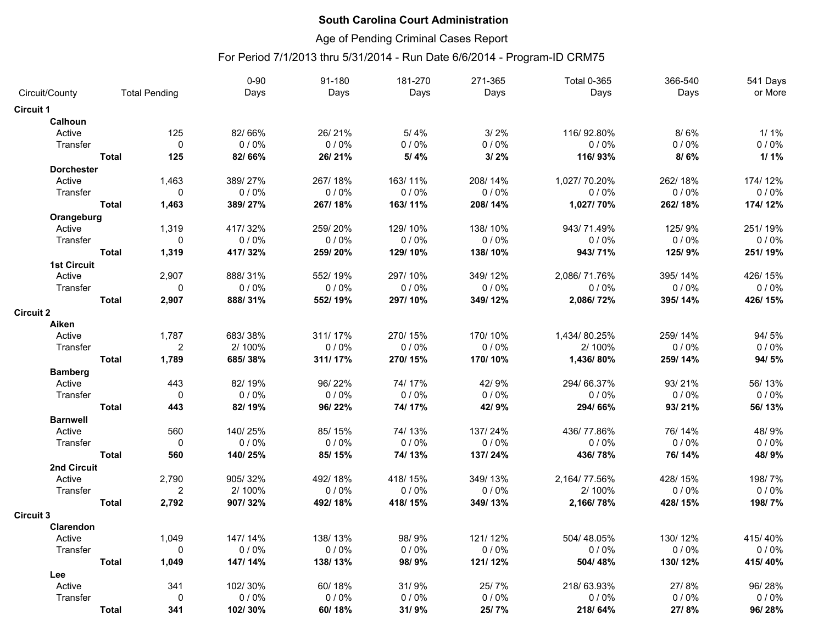### Age of Pending Criminal Cases Report

|                           |              |                      | $0 - 90$ | 91-180  | 181-270 | 271-365 | <b>Total 0-365</b> | 366-540 | 541 Days |
|---------------------------|--------------|----------------------|----------|---------|---------|---------|--------------------|---------|----------|
| Circuit/County            |              | <b>Total Pending</b> | Days     | Days    | Days    | Days    | Days               | Days    | or More  |
| <b>Circuit 1</b>          |              |                      |          |         |         |         |                    |         |          |
| <b>Calhoun</b>            |              |                      |          |         |         |         |                    |         |          |
| Active                    |              | 125                  | 82/66%   | 26/21%  | 5/4%    | 3/2%    | 116/92.80%         | 8/6%    | $1/1\%$  |
| Transfer                  |              | $\Omega$             | 0/0%     | $0/0\%$ | 0/0%    | 0/0%    | 0/0%               | 0/0%    | $0/0\%$  |
|                           | <b>Total</b> | 125                  | 82/66%   | 26/21%  | 5/4%    | 3/2%    | 116/93%            | 8/6%    | $1/1\%$  |
| <b>Dorchester</b>         |              |                      |          |         |         |         |                    |         |          |
| Active                    |              | 1,463                | 389/27%  | 267/18% | 163/11% | 208/14% | 1,027/70.20%       | 262/18% | 174/12%  |
| Transfer                  |              | 0                    | $0/0\%$  | $0/0\%$ | $0/0\%$ | 0/0%    | $0/0\%$            | $0/0\%$ | $0/0\%$  |
|                           | <b>Total</b> | 1,463                | 389/27%  | 267/18% | 163/11% | 208/14% | 1,027/70%          | 262/18% | 174/12%  |
| Orangeburg                |              |                      |          |         |         |         |                    |         |          |
| Active                    |              | 1,319                | 417/32%  | 259/20% | 129/10% | 138/10% | 943/71.49%         | 125/9%  | 251/19%  |
| Transfer                  |              | $\mathbf 0$          | 0/0%     | 0/0%    | 0/0%    | 0/0%    | 0/0%               | 0/0%    | 0/0%     |
|                           | <b>Total</b> | 1,319                | 417/32%  | 259/20% | 129/10% | 138/10% | 943/71%            | 125/9%  | 251/19%  |
| <b>1st Circuit</b>        |              |                      |          |         |         |         |                    |         |          |
| Active                    |              | 2,907                | 888/31%  | 552/19% | 297/10% | 349/12% | 2,086/71.76%       | 395/14% | 426/15%  |
| Transfer                  |              | $\mathbf{0}$         | 0/0%     | 0/0%    | 0/0%    | 0/0%    | 0/0%               | 0/0%    | 0/0%     |
|                           | <b>Total</b> | 2,907                | 888/31%  |         | 297/10% | 349/12% |                    |         | 426/15%  |
|                           |              |                      |          | 552/19% |         |         | 2,086/72%          | 395/14% |          |
| <b>Circuit 2</b><br>Aiken |              |                      |          |         |         |         |                    |         |          |
| Active                    |              | 1,787                | 683/38%  | 311/17% | 270/15% | 170/10% | 1,434/80.25%       | 259/14% | 94/5%    |
| Transfer                  |              | $\overline{2}$       | 2/100%   | $0/0\%$ | 0/0%    | 0/0%    | 2/100%             | 0/0%    | 0/0%     |
|                           | <b>Total</b> | 1,789                | 685/38%  | 311/17% | 270/15% | 170/10% | 1,436/80%          | 259/14% | 94/5%    |
|                           |              |                      |          |         |         |         |                    |         |          |
| <b>Bamberg</b>            |              |                      |          |         |         |         |                    |         |          |
| Active                    |              | 443                  | 82/19%   | 96/22%  | 74/17%  | 42/9%   | 294/66.37%         | 93/21%  | 56/13%   |
| Transfer                  |              | $\mathbf 0$          | 0/0%     | 0/0%    | 0/0%    | 0/0%    | 0/0%               | 0/0%    | 0/0%     |
|                           | <b>Total</b> | 443                  | 82/19%   | 96/22%  | 74/17%  | 42/9%   | 294/66%            | 93/21%  | 56/13%   |
| <b>Barnwell</b>           |              |                      |          |         |         |         |                    |         |          |
| Active                    |              | 560                  | 140/25%  | 85/15%  | 74/13%  | 137/24% | 436/77.86%         | 76/14%  | 48/9%    |
| Transfer                  |              | $\mathbf 0$          | 0/0%     | 0/0%    | 0/0%    | 0/0%    | 0/0%               | $0/0\%$ | $0/0\%$  |
|                           | <b>Total</b> | 560                  | 140/25%  | 85/15%  | 74/13%  | 137/24% | 436/78%            | 76/14%  | 48/9%    |
| 2nd Circuit               |              |                      |          |         |         |         |                    |         |          |
| Active                    |              | 2,790                | 905/32%  | 492/18% | 418/15% | 349/13% | 2,164/77.56%       | 428/15% | 198/7%   |
| Transfer                  |              | $\overline{2}$       | 2/100%   | 0/0%    | $0/0\%$ | 0/0%    | 2/100%             | 0/0%    | 0/0%     |
|                           | <b>Total</b> | 2,792                | 907/32%  | 492/18% | 418/15% | 349/13% | 2,166/78%          | 428/15% | 198/7%   |
| <b>Circuit 3</b>          |              |                      |          |         |         |         |                    |         |          |
| Clarendon                 |              |                      |          |         |         |         |                    |         |          |
| Active                    |              | 1,049                | 147/14%  | 138/13% | 98/9%   | 121/12% | 504/48.05%         | 130/12% | 415/40%  |
| Transfer                  |              | $\mathbf 0$          | 0/0%     | 0/0%    | 0/0%    | 0/0%    | 0/0%               | 0/0%    | 0/0%     |
|                           | <b>Total</b> | 1,049                | 147/14%  | 138/13% | 98/9%   | 121/12% | 504/48%            | 130/12% | 415/40%  |
| Lee                       |              |                      |          |         |         |         |                    |         |          |
| Active                    |              | 341                  | 102/30%  | 60/18%  | 31/9%   | 25/7%   | 218/63.93%         | 27/8%   | 96/28%   |
| Transfer                  |              | $\mathbf 0$          | 0/0%     | 0/0%    | 0/0%    | 0/0%    | 0/0%               | 0/0%    | 0/0%     |
|                           | <b>Total</b> | 341                  | 102/30%  | 60/18%  | 31/9%   | 25/7%   | 218/64%            | 27/8%   | 96/28%   |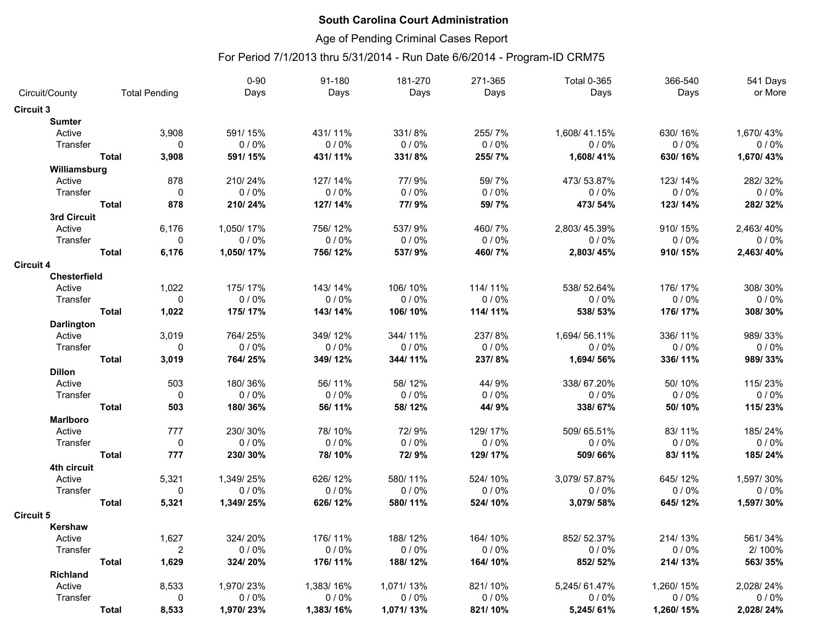### Age of Pending Criminal Cases Report

|                   |              |                      | $0 - 90$  | 91-180    | 181-270   | 271-365 | <b>Total 0-365</b> | 366-540   | 541 Days  |
|-------------------|--------------|----------------------|-----------|-----------|-----------|---------|--------------------|-----------|-----------|
| Circuit/County    |              | <b>Total Pending</b> | Days      | Days      | Days      | Days    | Days               | Days      | or More   |
| <b>Circuit 3</b>  |              |                      |           |           |           |         |                    |           |           |
| <b>Sumter</b>     |              |                      |           |           |           |         |                    |           |           |
| Active            |              | 3,908                | 591/15%   | 431/11%   | 331/8%    | 255/7%  | 1,608/41.15%       | 630/16%   | 1,670/43% |
| Transfer          |              | $\mathbf{0}$         | $0/0\%$   | 0/0%      | $0/0\%$   | 0/0%    | 0/0%               | 0/0%      | 0/0%      |
|                   | <b>Total</b> | 3,908                | 591/15%   | 431/11%   | 331/8%    | 255/7%  | 1,608/41%          | 630/16%   | 1,670/43% |
| Williamsburg      |              |                      |           |           |           |         |                    |           |           |
| Active            |              | 878                  | 210/24%   | 127/14%   | 77/9%     | 59/7%   | 473/53.87%         | 123/14%   | 282/32%   |
| Transfer          |              | $\mathbf 0$          | 0/0%      | 0/0%      | 0/0%      | 0/0%    | $0/0\%$            | $0/0\%$   | 0/0%      |
|                   | <b>Total</b> | 878                  | 210/24%   | 127/14%   | 77/9%     | 59/7%   | 473/54%            | 123/14%   | 282/32%   |
| 3rd Circuit       |              |                      |           |           |           |         |                    |           |           |
| Active            |              | 6,176                | 1,050/17% | 756/12%   | 537/9%    | 460/7%  | 2,803/45.39%       | 910/15%   | 2,463/40% |
| Transfer          |              | 0                    | 0/0%      | 0/0%      | 0/0%      | 0/0%    | 0/0%               | 0/0%      | 0/0%      |
|                   | <b>Total</b> | 6,176                | 1,050/17% | 756/12%   | 537/9%    | 460/7%  | 2,803/45%          | 910/15%   | 2,463/40% |
| <b>Circuit 4</b>  |              |                      |           |           |           |         |                    |           |           |
| Chesterfield      |              |                      |           |           |           |         |                    |           |           |
| Active            |              | 1,022                | 175/17%   | 143/14%   | 106/10%   | 114/11% | 538/52.64%         | 176/17%   | 308/30%   |
| Transfer          |              | $\mathbf{0}$         | 0/0%      | 0/0%      | 0/0%      | 0/0%    | 0/0%               | 0/0%      | 0/0%      |
|                   | <b>Total</b> | 1,022                | 175/17%   | 143/14%   | 106/10%   | 114/11% | 538/53%            | 176/17%   | 308/30%   |
| <b>Darlington</b> |              |                      |           |           |           |         |                    |           |           |
| Active            |              | 3,019                | 764/25%   | 349/12%   | 344/11%   | 237/8%  | 1,694/56.11%       | 336/11%   | 989/33%   |
| Transfer          |              | 0                    | 0/0%      | 0/0%      | 0/0%      | 0/0%    | 0/0%               | 0/0%      | $0/0\%$   |
|                   | <b>Total</b> | 3,019                | 764/25%   | 349/12%   | 344/11%   | 237/8%  | 1,694/56%          | 336/11%   | 989/33%   |
| <b>Dillon</b>     |              |                      |           |           |           |         |                    |           |           |
| Active            |              | 503                  | 180/36%   | 56/11%    | 58/12%    | 44/9%   | 338/67.20%         | 50/10%    | 115/23%   |
| Transfer          |              | 0                    | 0/0%      | 0/0%      | 0/0%      | 0/0%    | 0/0%               | 0/0%      | 0/0%      |
|                   | <b>Total</b> | 503                  | 180/36%   | 56/11%    | 58/12%    | 44/9%   | 338/67%            | 50/10%    | 115/23%   |
| <b>Marlboro</b>   |              |                      |           |           |           |         |                    |           |           |
| Active            |              | 777                  | 230/30%   | 78/10%    | 72/9%     | 129/17% | 509/65.51%         | 83/11%    | 185/24%   |
| Transfer          |              | $\mathbf 0$          | 0/0%      | 0/0%      | $0/0\%$   | 0/0%    | 0/0%               | 0/0%      | $0/0\%$   |
|                   | <b>Total</b> | 777                  | 230/30%   | 78/10%    | 72/9%     | 129/17% | 509/66%            | 83/11%    | 185/24%   |
| 4th circuit       |              |                      |           |           |           |         |                    |           |           |
| Active            |              | 5,321                | 1,349/25% | 626/12%   | 580/11%   | 524/10% | 3,079/57.87%       | 645/12%   | 1,597/30% |
| Transfer          |              | 0                    | 0/0%      | 0/0%      | 0/0%      | 0/0%    | 0/0%               | 0/0%      | 0/0%      |
|                   | <b>Total</b> | 5,321                | 1,349/25% | 626/12%   | 580/11%   | 524/10% | 3,079/58%          | 645/12%   | 1,597/30% |
| <b>Circuit 5</b>  |              |                      |           |           |           |         |                    |           |           |
| Kershaw           |              |                      |           |           |           |         |                    |           |           |
| Active            |              | 1,627                | 324/20%   | 176/11%   | 188/12%   | 164/10% | 852/52.37%         | 214/13%   | 561/34%   |
| Transfer          |              | $\overline{2}$       | 0/0%      | 0/0%      | 0/0%      | 0/0%    | 0/0%               | 0/0%      | 2/100%    |
|                   | <b>Total</b> | 1,629                | 324/20%   | 176/11%   | 188/12%   | 164/10% | 852/52%            | 214/13%   | 563/35%   |
| Richland          |              |                      |           |           |           |         |                    |           |           |
| Active            |              | 8,533                | 1,970/23% | 1,383/16% | 1,071/13% | 821/10% | 5,245/61.47%       | 1,260/15% | 2,028/24% |
| Transfer          |              | $\mathbf 0$          | 0/0%      | 0/0%      | 0/0%      | 0/0%    | 0/0%               | 0/0%      | 0/0%      |
|                   | <b>Total</b> | 8,533                | 1,970/23% | 1,383/16% | 1,071/13% | 821/10% | 5,245/61%          | 1,260/15% | 2,028/24% |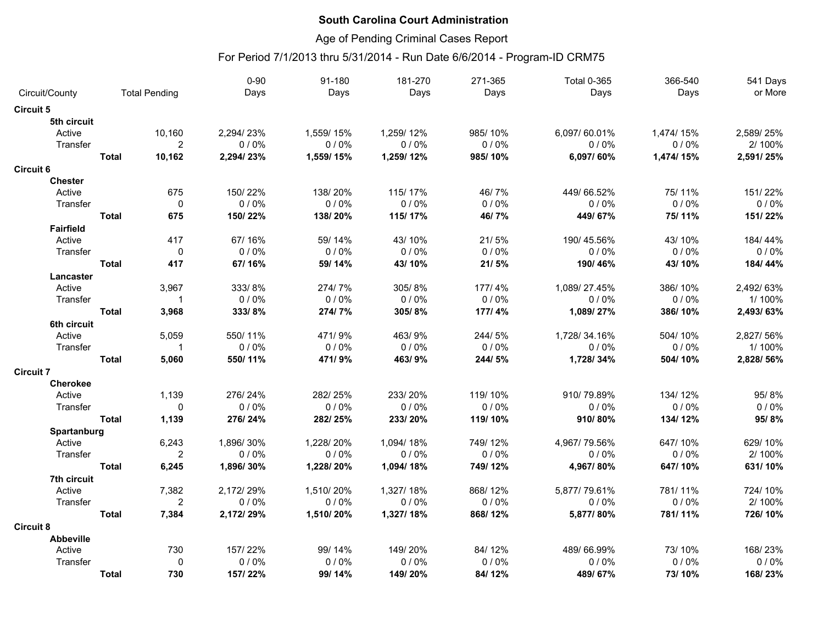### Age of Pending Criminal Cases Report

|                  |              |                      | $0 - 90$  | 91-180    | 181-270   | 271-365 | <b>Total 0-365</b> | 366-540    | 541 Days  |
|------------------|--------------|----------------------|-----------|-----------|-----------|---------|--------------------|------------|-----------|
| Circuit/County   |              | <b>Total Pending</b> | Days      | Days      | Days      | Days    | Days               | Days       | or More   |
| <b>Circuit 5</b> |              |                      |           |           |           |         |                    |            |           |
| 5th circuit      |              |                      |           |           |           |         |                    |            |           |
| Active           |              | 10,160               | 2,294/23% | 1,559/15% | 1,259/12% | 985/10% | 6,097/60.01%       | 1,474/15%  | 2,589/25% |
| Transfer         |              | $\overline{2}$       | 0/0%      | 0/0%      | 0/0%      | 0/0%    | 0/0%               | 0/0%       | 2/100%    |
|                  | <b>Total</b> | 10,162               | 2,294/23% | 1,559/15% | 1,259/12% | 985/10% | 6,097/60%          | 1,474/ 15% | 2,591/25% |
| <b>Circuit 6</b> |              |                      |           |           |           |         |                    |            |           |
| <b>Chester</b>   |              |                      |           |           |           |         |                    |            |           |
| Active           |              | 675                  | 150/22%   | 138/20%   | 115/17%   | 46/7%   | 449/66.52%         | 75/11%     | 151/22%   |
| Transfer         |              | $\mathbf 0$          | 0/0%      | 0/0%      | 0/0%      | 0/0%    | 0/0%               | 0/0%       | 0/0%      |
|                  | <b>Total</b> | 675                  | 150/22%   | 138/20%   | 115/17%   | 46/7%   | 449/67%            | 75/11%     | 151/22%   |
| <b>Fairfield</b> |              |                      |           |           |           |         |                    |            |           |
| Active           |              | 417                  | 67/16%    | 59/14%    | 43/10%    | 21/5%   | 190/45.56%         | 43/10%     | 184/44%   |
| Transfer         |              | $\mathbf 0$          | 0/0%      | 0/0%      | 0/0%      | 0/0%    | 0/0%               | 0/0%       | 0/0%      |
|                  | <b>Total</b> | 417                  | 67/16%    | 59/14%    | 43/10%    | 21/5%   | 190/46%            | 43/10%     | 184/44%   |
| Lancaster        |              |                      |           |           |           |         |                    |            |           |
| Active           |              | 3,967                | 333/8%    | 274/7%    | 305/8%    | 177/4%  | 1,089/27.45%       | 386/10%    | 2,492/63% |
| Transfer         |              | $\mathbf 1$          | 0/0%      | 0/0%      | 0/0%      | 0/0%    | 0/0%               | 0/0%       | 1/100%    |
|                  | <b>Total</b> | 3,968                | 333/8%    | 274/7%    | 305/8%    | 177/4%  | 1,089/27%          | 386/10%    | 2,493/63% |
| 6th circuit      |              |                      |           |           |           |         |                    |            |           |
| Active           |              | 5,059                | 550/11%   | 471/9%    | 463/9%    | 244/5%  | 1,728/34.16%       | 504/10%    | 2,827/56% |
| Transfer         |              | $\mathbf 1$          | 0/0%      | 0/0%      | 0/0%      | 0/0%    | 0/0%               | 0/0%       | 1/100%    |
|                  | <b>Total</b> | 5,060                | 550/11%   | 471/9%    | 463/9%    | 244/5%  | 1,728/34%          | 504/10%    | 2,828/56% |
| <b>Circuit 7</b> |              |                      |           |           |           |         |                    |            |           |
| Cherokee         |              |                      |           |           |           |         |                    |            |           |
| Active           |              | 1,139                | 276/24%   | 282/25%   | 233/20%   | 119/10% | 910/79.89%         | 134/12%    | 95/8%     |
| Transfer         |              | $\Omega$             | 0/0%      | 0/0%      | 0/0%      | 0/0%    | 0/0%               | 0/0%       | 0/0%      |
|                  | <b>Total</b> | 1,139                | 276/24%   | 282/25%   | 233/20%   | 119/10% | 910/80%            | 134/12%    | 95/8%     |
| Spartanburg      |              |                      |           |           |           |         |                    |            |           |
| Active           |              | 6,243                | 1,896/30% | 1,228/20% | 1,094/18% | 749/12% | 4,967/79.56%       | 647/10%    | 629/10%   |
| Transfer         |              | 2                    | 0/0%      | 0/0%      | 0/0%      | 0/0%    | 0/0%               | 0/0%       | 2/100%    |
|                  | <b>Total</b> | 6,245                | 1,896/30% | 1,228/20% | 1,094/18% | 749/12% | 4,967/80%          | 647/10%    | 631/10%   |
| 7th circuit      |              |                      |           |           |           |         |                    |            |           |
| Active           |              | 7,382                | 2,172/29% | 1,510/20% | 1,327/18% | 868/12% | 5,877/79.61%       | 781/11%    | 724/10%   |
| Transfer         |              | $\overline{2}$       | 0/0%      | 0/0%      | 0/0%      | 0/0%    | $0/0\%$            | 0/0%       | 2/100%    |
|                  | <b>Total</b> | 7,384                | 2,172/29% | 1,510/20% | 1,327/18% | 868/12% | 5,877/80%          | 781/11%    | 726/10%   |
| <b>Circuit 8</b> |              |                      |           |           |           |         |                    |            |           |
| <b>Abbeville</b> |              |                      |           |           |           |         |                    |            |           |
| Active           |              | 730                  | 157/22%   | 99/14%    | 149/20%   | 84/12%  | 489/66.99%         | 73/10%     | 168/23%   |
| Transfer         |              | 0                    | 0/0%      | 0/0%      | 0/0%      | 0/0%    | 0/0%               | 0/0%       | 0/0%      |
|                  | <b>Total</b> | 730                  | 157/22%   | 99/14%    | 149/20%   | 84/12%  | 489/67%            | 73/10%     | 168/23%   |
|                  |              |                      |           |           |           |         |                    |            |           |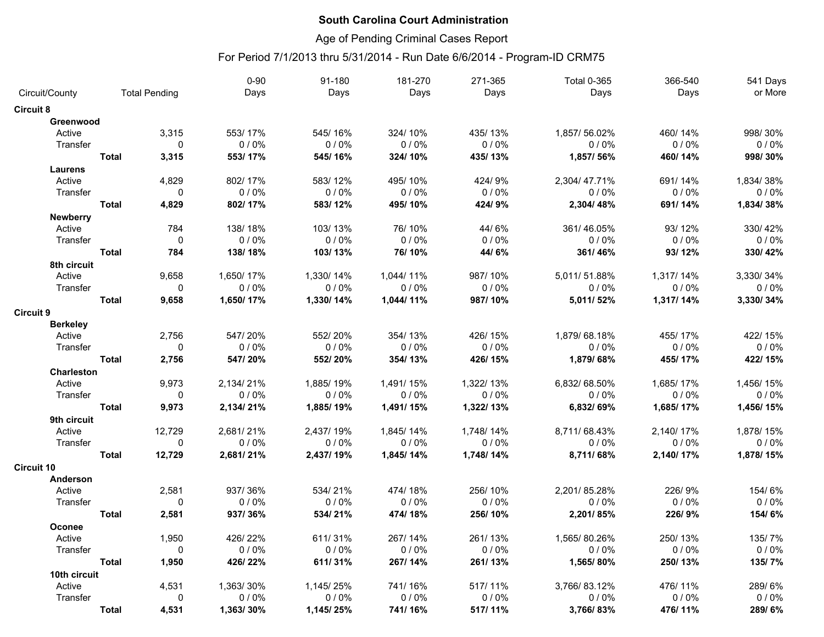### Age of Pending Criminal Cases Report

|                           |                      |              | $0 - 90$  | 91-180    | 181-270   | 271-365   | <b>Total 0-365</b> | 366-540   | 541 Days  |
|---------------------------|----------------------|--------------|-----------|-----------|-----------|-----------|--------------------|-----------|-----------|
| Circuit/County            | <b>Total Pending</b> |              | Days      | Days      | Days      | Days      | Days               | Days      | or More   |
| <b>Circuit 8</b>          |                      |              |           |           |           |           |                    |           |           |
| Greenwood                 |                      |              |           |           |           |           |                    |           |           |
| Active                    |                      | 3,315        | 553/17%   | 545/16%   | 324/10%   | 435/13%   | 1,857/56.02%       | 460/14%   | 998/30%   |
| Transfer                  |                      | $\mathbf{0}$ | $0/0\%$   | 0/0%      | 0/0%      | 0/0%      | 0/0%               | 0/0%      | 0/0%      |
|                           | <b>Total</b>         | 3,315        | 553/17%   | 545/16%   | 324/10%   | 435/13%   | 1,857/56%          | 460/14%   | 998/30%   |
| <b>Laurens</b>            |                      |              |           |           |           |           |                    |           |           |
| Active                    |                      | 4,829        | 802/17%   | 583/12%   | 495/10%   | 424/9%    | 2,304/47.71%       | 691/14%   | 1,834/38% |
| Transfer                  |                      | $\mathbf{0}$ | 0/0%      | $0/0\%$   | 0/0%      | 0/0%      | 0/0%               | 0/0%      | $0/0\%$   |
|                           | <b>Total</b>         | 4,829        | 802/17%   | 583/12%   | 495/10%   | 424/9%    | 2,304/48%          | 691/14%   | 1,834/38% |
| <b>Newberry</b>           |                      |              |           |           |           |           |                    |           |           |
| Active                    |                      | 784          | 138/18%   | 103/13%   | 76/10%    | 44/6%     | 361/46.05%         | 93/12%    | 330/42%   |
| Transfer                  |                      | $\mathbf 0$  | 0/0%      | 0/0%      | 0/0%      | 0/0%      | 0/0%               | 0/0%      | 0/0%      |
|                           | <b>Total</b>         | 784          | 138/18%   | 103/13%   | 76/10%    | 44/6%     | 361/46%            | 93/12%    | 330/42%   |
| 8th circuit               |                      |              |           |           |           |           |                    |           |           |
| Active                    |                      | 9,658        | 1,650/17% | 1,330/14% | 1,044/11% | 987/10%   | 5,011/51.88%       | 1,317/14% | 3,330/34% |
| Transfer                  |                      | $\mathbf 0$  | 0/0%      | 0/0%      | 0/0%      | 0/0%      | 0/0%               | 0/0%      | 0/0%      |
|                           | <b>Total</b>         | 9,658        | 1,650/17% | 1,330/14% | 1,044/11% | 987/10%   | 5,011/52%          | 1,317/14% | 3,330/34% |
|                           |                      |              |           |           |           |           |                    |           |           |
| <b>Circuit 9</b>          |                      |              |           |           |           |           |                    |           |           |
| <b>Berkeley</b><br>Active |                      | 2,756        | 547/20%   | 552/20%   | 354/13%   | 426/15%   | 1,879/68.18%       | 455/17%   | 422/15%   |
| Transfer                  |                      | $\mathbf{0}$ | 0/0%      | 0/0%      | 0/0%      | 0/0%      | 0/0%               | 0/0%      | 0/0%      |
|                           | <b>Total</b>         | 2,756        | 547/20%   | 552/20%   | 354/13%   | 426/15%   |                    | 455/17%   | 422/15%   |
|                           |                      |              |           |           |           |           | 1,879/68%          |           |           |
| <b>Charleston</b>         |                      |              | 2,134/21% |           |           |           |                    |           | 1,456/15% |
| Active                    |                      | 9.973        |           | 1,885/19% | 1,491/15% | 1,322/13% | 6,832/68.50%       | 1,685/17% |           |
| Transfer                  |                      | $\mathbf{0}$ | 0/0%      | 0/0%      | 0/0%      | 0/0%      | 0/0%               | $0/0\%$   | $0/0\%$   |
|                           | <b>Total</b>         | 9,973        | 2,134/21% | 1,885/19% | 1,491/15% | 1,322/13% | 6,832/69%          | 1,685/17% | 1,456/15% |
| 9th circuit               |                      |              |           |           |           |           |                    |           |           |
| Active                    |                      | 12,729       | 2,681/21% | 2,437/19% | 1,845/14% | 1,748/14% | 8,711/68.43%       | 2,140/17% | 1,878/15% |
| Transfer                  |                      | $\mathbf 0$  | 0/0%      | 0/0%      | 0/0%      | 0/0%      | 0/0%               | 0/0%      | 0/0%      |
|                           | <b>Total</b>         | 12,729       | 2,681/21% | 2,437/19% | 1,845/14% | 1,748/14% | 8,711/68%          | 2,140/17% | 1,878/15% |
| <b>Circuit 10</b>         |                      |              |           |           |           |           |                    |           |           |
| Anderson                  |                      |              |           |           |           |           |                    |           |           |
| Active                    |                      | 2,581        | 937/36%   | 534/21%   | 474/18%   | 256/10%   | 2,201/85.28%       | 226/9%    | 154/6%    |
| Transfer                  |                      | $\mathbf 0$  | 0/0%      | 0/0%      | 0/0%      | 0/0%      | 0/0%               | 0/0%      | 0/0%      |
|                           | <b>Total</b>         | 2,581        | 937/36%   | 534/21%   | 474/18%   | 256/10%   | 2,201/85%          | 226/9%    | 154/6%    |
| Oconee                    |                      |              |           |           |           |           |                    |           |           |
| Active                    |                      | 1,950        | 426/22%   | 611/31%   | 267/14%   | 261/13%   | 1,565/80.26%       | 250/13%   | 135/7%    |
| Transfer                  |                      | $\mathbf{0}$ | 0/0%      | 0/0%      | 0/0%      | 0/0%      | 0/0%               | 0/0%      | 0/0%      |
|                           | <b>Total</b>         | 1,950        | 426/22%   | 611/31%   | 267/14%   | 261/13%   | 1,565/80%          | 250/13%   | 135/7%    |
| 10th circuit              |                      |              |           |           |           |           |                    |           |           |
| Active                    |                      | 4,531        | 1,363/30% | 1,145/25% | 741/16%   | 517/11%   | 3,766/83.12%       | 476/11%   | 289/6%    |
| Transfer                  |                      | 0            | 0/0%      | 0/0%      | 0/0%      | 0/0%      | 0/0%               | $0/0\%$   | $0/0\%$   |
|                           | <b>Total</b>         | 4,531        | 1,363/30% | 1,145/25% | 741/16%   | 517/11%   | 3,766/83%          | 476/11%   | 289/6%    |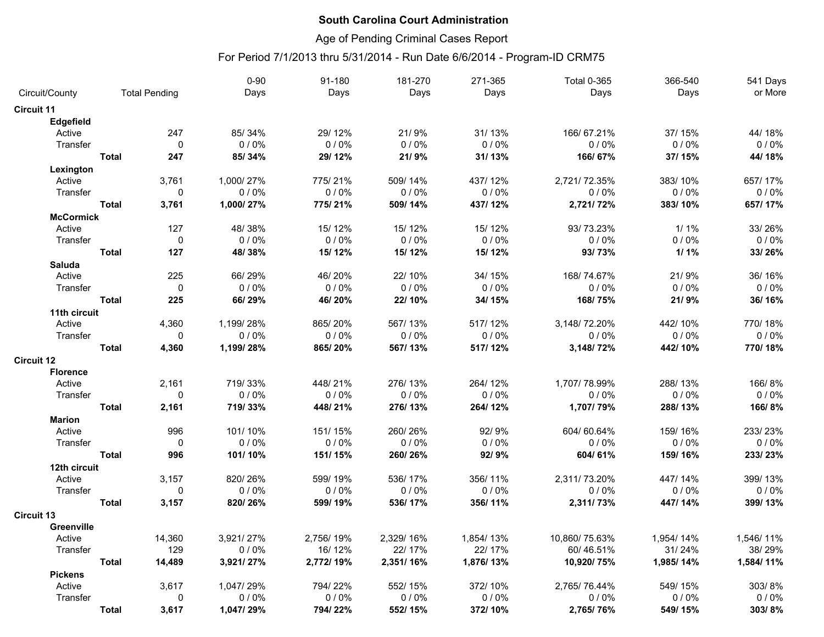### Age of Pending Criminal Cases Report

|                   |              |                      | $0 - 90$  | 91-180    | 181-270   | 271-365   | <b>Total 0-365</b> | 366-540   | 541 Days  |
|-------------------|--------------|----------------------|-----------|-----------|-----------|-----------|--------------------|-----------|-----------|
| Circuit/County    |              | <b>Total Pending</b> | Days      | Days      | Days      | Days      | Days               | Days      | or More   |
| <b>Circuit 11</b> |              |                      |           |           |           |           |                    |           |           |
| <b>Edgefield</b>  |              |                      |           |           |           |           |                    |           |           |
| Active            |              | 247                  | 85/34%    | 29/12%    | 21/9%     | 31/13%    | 166/67.21%         | 37/15%    | 44/18%    |
| Transfer          |              | $\mathbf{0}$         | 0/0%      | $0/0\%$   | 0/0%      | 0/0%      | 0/0%               | 0/0%      | 0/0%      |
|                   | <b>Total</b> | 247                  | 85/34%    | 29/12%    | 21/9%     | 31/13%    | 166/67%            | 37/15%    | 44/18%    |
| Lexington         |              |                      |           |           |           |           |                    |           |           |
| Active            |              | 3,761                | 1,000/27% | 775/21%   | 509/14%   | 437/12%   | 2,721/72.35%       | 383/10%   | 657/17%   |
| Transfer          |              | 0                    | $0/0\%$   | $0/0\%$   | $0/0\%$   | 0/0%      | $0/0\%$            | $0/0\%$   | $0/0\%$   |
|                   | <b>Total</b> | 3,761                | 1,000/27% | 775/21%   | 509/14%   | 437/12%   | 2,721/72%          | 383/10%   | 657/17%   |
| <b>McCormick</b>  |              |                      |           |           |           |           |                    |           |           |
| Active            |              | 127                  | 48/38%    | 15/12%    | 15/12%    | 15/12%    | 93/73.23%          | $1/1\%$   | 33/26%    |
| Transfer          |              | 0                    | 0/0%      | 0/0%      | 0/0%      | 0/0%      | 0/0%               | 0/0%      | 0/0%      |
|                   | <b>Total</b> | 127                  | 48/38%    | 15/12%    | 15/12%    | 15/12%    | 93/73%             | $1/1\%$   | 33/26%    |
| <b>Saluda</b>     |              |                      |           |           |           |           |                    |           |           |
| Active            |              | 225                  | 66/29%    | 46/20%    | 22/10%    | 34/15%    | 168/74.67%         | 21/9%     | 36/16%    |
| Transfer          |              | $\mathbf{0}$         | 0/0%      | $0/0\%$   | 0/0%      | 0/0%      | 0/0%               | 0/0%      | 0/0%      |
|                   | <b>Total</b> | 225                  | 66/29%    | 46/20%    | 22/10%    | 34/15%    | 168/75%            | 21/9%     | 36/16%    |
| 11th circuit      |              |                      |           |           |           |           |                    |           |           |
| Active            |              | 4,360                | 1,199/28% | 865/20%   | 567/13%   | 517/12%   | 3,148/72.20%       | 442/10%   | 770/18%   |
| Transfer          |              | $\mathbf 0$          | 0/0%      | 0/0%      | 0/0%      | 0/0%      | 0/0%               | 0/0%      | 0/0%      |
|                   | <b>Total</b> | 4,360                | 1,199/28% | 865/20%   | 567/13%   | 517/12%   | 3,148/72%          | 442/10%   | 770/18%   |
| <b>Circuit 12</b> |              |                      |           |           |           |           |                    |           |           |
| <b>Florence</b>   |              |                      |           |           |           |           |                    |           |           |
| Active            |              | 2,161                | 719/33%   | 448/21%   | 276/13%   | 264/12%   | 1,707/78.99%       | 288/13%   | 166/8%    |
| Transfer          |              | $\mathbf 0$          | 0/0%      | 0/0%      | 0/0%      | 0/0%      | 0/0%               | 0/0%      | 0/0%      |
|                   | <b>Total</b> | 2,161                | 719/33%   | 448/21%   | 276/13%   | 264/12%   | 1,707/79%          | 288/13%   | 166/8%    |
| <b>Marion</b>     |              |                      |           |           |           |           |                    |           |           |
| Active            |              | 996                  | 101/10%   | 151/15%   | 260/26%   | 92/9%     | 604/60.64%         | 159/16%   | 233/23%   |
| Transfer          |              | $\mathbf 0$          | 0/0%      | $0/0\%$   | 0/0%      | 0/0%      | 0/0%               | 0/0%      | 0/0%      |
|                   | <b>Total</b> | 996                  | 101/10%   | 151/15%   | 260/26%   | 92/9%     | 604/61%            | 159/16%   | 233/23%   |
| 12th circuit      |              |                      |           |           |           |           |                    |           |           |
| Active            |              | 3,157                | 820/26%   | 599/19%   | 536/17%   | 356/11%   | 2,311/73.20%       | 447/14%   | 399/13%   |
| Transfer          |              | $\mathbf{0}$         | 0/0%      | 0/0%      | 0/0%      | 0/0%      | 0/0%               | 0/0%      | 0/0%      |
|                   | <b>Total</b> | 3,157                | 820/26%   | 599/19%   | 536/17%   | 356/11%   | 2,311/73%          | 447/14%   | 399/13%   |
| <b>Circuit 13</b> |              |                      |           |           |           |           |                    |           |           |
| Greenville        |              |                      |           |           |           |           |                    |           |           |
| Active            |              | 14,360               | 3,921/27% | 2,756/19% | 2,329/16% | 1,854/13% | 10,860/75.63%      | 1,954/14% | 1,546/11% |
| Transfer          |              | 129                  | 0/0%      | 16/12%    | 22/17%    | 22/17%    | 60/46.51%          | 31/24%    | 38/29%    |
|                   | <b>Total</b> | 14,489               | 3,921/27% | 2,772/19% | 2,351/16% | 1,876/13% | 10,920/75%         | 1,985/14% | 1,584/11% |
| <b>Pickens</b>    |              |                      |           |           |           |           |                    |           |           |
| Active            |              | 3.617                | 1,047/29% | 794/22%   | 552/15%   | 372/10%   | 2,765/76.44%       | 549/15%   | 303/8%    |
| Transfer          |              | 0                    | 0/0%      | $0/0\%$   | 0/0%      | 0/0%      | 0/0%               | 0/0%      | 0/0%      |
|                   | <b>Total</b> | 3,617                | 1,047/29% | 794/22%   | 552/15%   | 372/10%   | 2,765/76%          | 549/15%   | 303/8%    |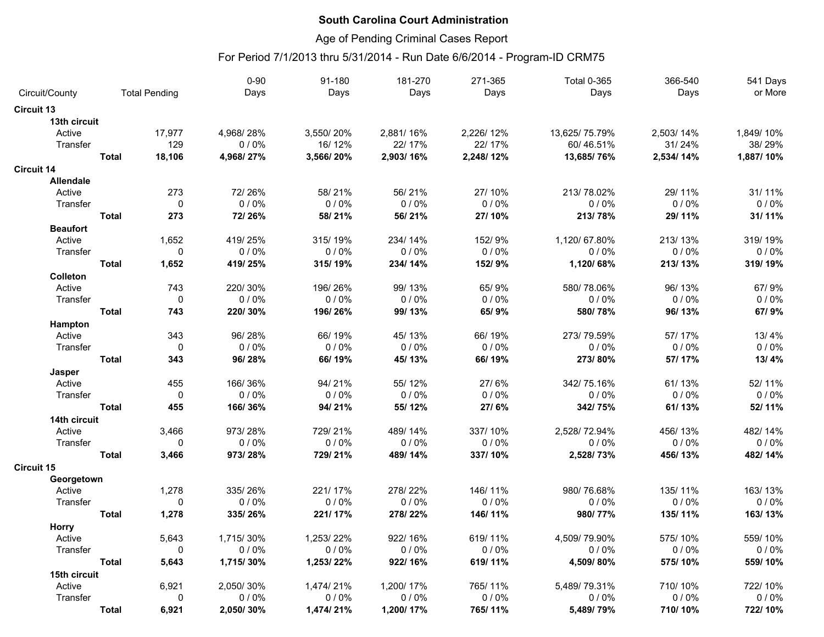### Age of Pending Criminal Cases Report

|                   |              |                      | $0 - 90$  | 91-180    | 181-270   | 271-365   | <b>Total 0-365</b> | 366-540   | 541 Days  |
|-------------------|--------------|----------------------|-----------|-----------|-----------|-----------|--------------------|-----------|-----------|
| Circuit/County    |              | <b>Total Pending</b> | Days      | Days      | Days      | Days      | Days               | Days      | or More   |
| <b>Circuit 13</b> |              |                      |           |           |           |           |                    |           |           |
| 13th circuit      |              |                      |           |           |           |           |                    |           |           |
| Active            |              | 17,977               | 4,968/28% | 3,550/20% | 2,881/16% | 2,226/12% | 13,625/75.79%      | 2,503/14% | 1,849/10% |
| Transfer          |              | 129                  | 0/0%      | 16/12%    | 22/17%    | 22/17%    | 60/46.51%          | 31/24%    | 38/29%    |
|                   | <b>Total</b> | 18,106               | 4,968/27% | 3,566/20% | 2,903/16% | 2,248/12% | 13,685/76%         | 2,534/14% | 1,887/10% |
| <b>Circuit 14</b> |              |                      |           |           |           |           |                    |           |           |
| <b>Allendale</b>  |              |                      |           |           |           |           |                    |           |           |
| Active            |              | 273                  | 72/26%    | 58/21%    | 56/21%    | 27/10%    | 213/78.02%         | 29/11%    | 31/11%    |
| Transfer          |              | $\mathbf 0$          | 0/0%      | 0/0%      | $0/0\%$   | 0/0%      | 0/0%               | 0/0%      | 0/0%      |
|                   | <b>Total</b> | 273                  | 72/26%    | 58/21%    | 56/21%    | 27/10%    | 213/78%            | 29/11%    | 31/11%    |
| <b>Beaufort</b>   |              |                      |           |           |           |           |                    |           |           |
| Active            |              | 1,652                | 419/25%   | 315/19%   | 234/14%   | 152/9%    | 1,120/67.80%       | 213/13%   | 319/19%   |
| Transfer          |              | $\pmb{0}$            | 0/0%      | 0/0%      | 0/0%      | 0/0%      | 0/0%               | 0/0%      | 0/0%      |
|                   | <b>Total</b> | 1,652                | 419/25%   | 315/19%   | 234/14%   | 152/9%    | 1,120/68%          | 213/13%   | 319/19%   |
| Colleton          |              |                      |           |           |           |           |                    |           |           |
| Active            |              | 743                  | 220/30%   | 196/26%   | 99/13%    | 65/9%     | 580/78.06%         | 96/13%    | 67/9%     |
| Transfer          |              | $\mathbf 0$          | 0/0%      | 0/0%      | 0/0%      | 0/0%      | 0/0%               | 0/0%      | 0/0%      |
|                   | <b>Total</b> | 743                  | 220/30%   | 196/26%   | 99/13%    | 65/9%     | 580/78%            | 96/13%    | 67/9%     |
| Hampton           |              |                      |           |           |           |           |                    |           |           |
| Active            |              | 343                  | 96/28%    | 66/19%    | 45/13%    | 66/19%    | 273/79.59%         | 57/17%    | 13/4%     |
| Transfer          |              | $\mathbf 0$          | 0/0%      | 0/0%      | 0/0%      | 0/0%      | 0/0%               | 0/0%      | 0/0%      |
|                   | <b>Total</b> | 343                  | 96/28%    | 66/19%    | 45/13%    | 66/19%    | 273/80%            | 57/17%    | 13/4%     |
| Jasper            |              |                      |           |           |           |           |                    |           |           |
| Active            |              | 455                  | 166/36%   | 94/21%    | 55/12%    | 27/6%     | 342/75.16%         | 61/13%    | 52/11%    |
| Transfer          |              | $\mathbf 0$          | 0/0%      | 0/0%      | 0/0%      | 0/0%      | 0/0%               | $0/0\%$   | 0/0%      |
|                   | <b>Total</b> | 455                  | 166/36%   | 94/21%    | 55/12%    | 27/6%     | 342/75%            | 61/13%    | 52/11%    |
| 14th circuit      |              |                      |           |           |           |           |                    |           |           |
| Active            |              | 3,466                | 973/28%   | 729/21%   | 489/14%   | 337/10%   | 2,528/72.94%       | 456/13%   | 482/14%   |
| Transfer          |              | $\mathbf 0$          | 0/0%      | 0/0%      | 0/0%      | 0/0%      | 0/0%               | 0/0%      | 0/0%      |
|                   | <b>Total</b> | 3,466                | 973/28%   | 729/21%   | 489/14%   | 337/10%   | 2,528/73%          | 456/13%   | 482/14%   |
| <b>Circuit 15</b> |              |                      |           |           |           |           |                    |           |           |
| Georgetown        |              |                      |           |           |           |           |                    |           |           |
| Active            |              | 1,278                | 335/26%   | 221/17%   | 278/22%   | 146/11%   | 980/76.68%         | 135/11%   | 163/13%   |
| Transfer          |              | $\mathbf 0$          | 0/0%      | 0/0%      | 0/0%      | 0/0%      | 0/0%               | 0/0%      | 0/0%      |
|                   | <b>Total</b> | 1,278                | 335/26%   | 221/17%   | 278/22%   | 146/11%   | 980/77%            | 135/11%   | 163/13%   |
| <b>Horry</b>      |              |                      |           |           |           |           |                    |           |           |
| Active            |              | 5,643                | 1,715/30% | 1,253/22% | 922/16%   | 619/11%   | 4,509/79.90%       | 575/10%   | 559/10%   |
| Transfer          |              | $\mathbf 0$          | 0/0%      | 0/0%      | 0/0%      | 0/0%      | 0/0%               | 0/0%      | 0/0%      |
|                   | <b>Total</b> | 5,643                | 1,715/30% | 1,253/22% | 922/16%   | 619/11%   | 4,509/80%          | 575/10%   | 559/10%   |
| 15th circuit      |              |                      |           |           |           |           |                    |           |           |
| Active            |              | 6,921                | 2,050/30% | 1,474/21% | 1,200/17% | 765/11%   | 5,489/79.31%       | 710/10%   | 722/10%   |
| Transfer          |              | 0                    | 0/0%      | 0/0%      | $0/0\%$   | 0/0%      | 0/0%               | $0/0\%$   | $0/0\%$   |
|                   | <b>Total</b> | 6,921                | 2,050/30% | 1,474/21% | 1,200/17% | 765/11%   | 5,489/79%          | 710/10%   | 722/10%   |